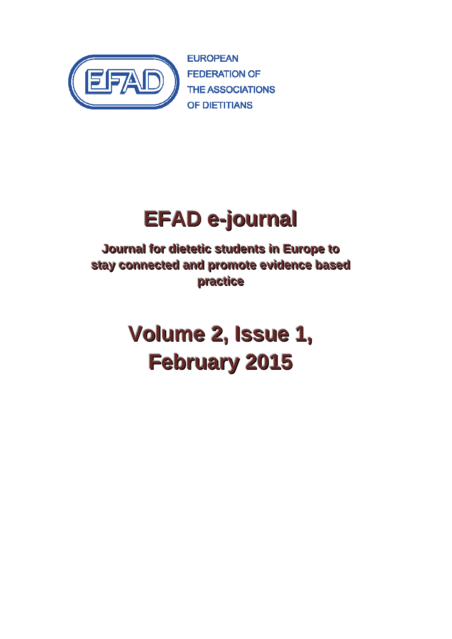

**EUROPEAN FEDERATION OF THE ASSOCIATIONS** OF DIFTITIANS

# **EFAD e-journal**

**Journall for diietetiic students iin Europe to stay** connected and promote evidence based **practiice**

# **Volume 2, Issue 1, February 2015**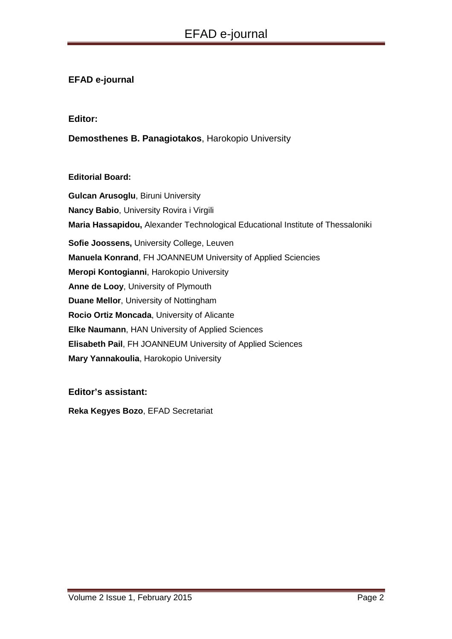# **EFAD e-journal**

#### **Editor:**

**Demosthenes B. Panagiotakos**, Harokopio University

#### **Editorial Board:**

**Gulcan Arusoglu**, Biruni University **Nancy Babio**, University Rovira i Virgili **Maria Hassapidou,** Alexander Technological Educational Institute of Thessaloniki **Sofie Joossens,** University College, Leuven **Manuela Konrand**, FH JOANNEUM University of Applied Sciencies **Meropi Kontogianni**, Harokopio University **Anne de Looy**, University of Plymouth **Duane Mellor**, University of Nottingham **Rocio Ortiz Moncada**, University of Alicante **Elke Naumann**, HAN University of Applied Sciences **Elisabeth Pail**, FH JOANNEUM University of Applied Sciences **Mary Yannakoulia**, Harokopio University

## **Editor's assistant:**

**Reka Kegyes Bozo**, EFAD Secretariat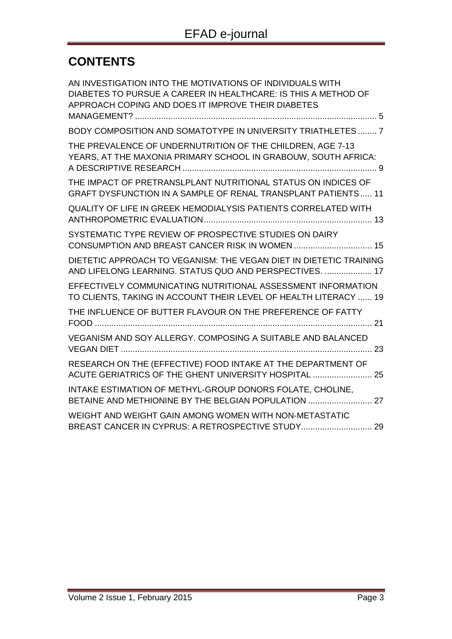# **CONTENTS**

| AN INVESTIGATION INTO THE MOTIVATIONS OF INDIVIDUALS WITH<br>DIABETES TO PURSUE A CAREER IN HEALTHCARE: IS THIS A METHOD OF<br>APPROACH COPING AND DOES IT IMPROVE THEIR DIABETES |
|-----------------------------------------------------------------------------------------------------------------------------------------------------------------------------------|
| BODY COMPOSITION AND SOMATOTYPE IN UNIVERSITY TRIATHLETES  7                                                                                                                      |
| THE PREVALENCE OF UNDERNUTRITION OF THE CHILDREN, AGE 7-13<br>YEARS, AT THE MAXONIA PRIMARY SCHOOL IN GRABOUW, SOUTH AFRICA:                                                      |
| THE IMPACT OF PRETRANSLPLANT NUTRITIONAL STATUS ON INDICES OF<br><b>GRAFT DYSFUNCTION IN A SAMPLE OF RENAL TRANSPLANT PATIENTS 11</b>                                             |
| <b>QUALITY OF LIFE IN GREEK HEMODIALYSIS PATIENTS CORRELATED WITH</b>                                                                                                             |
| SYSTEMATIC TYPE REVIEW OF PROSPECTIVE STUDIES ON DAIRY                                                                                                                            |
| DIETETIC APPROACH TO VEGANISM: THE VEGAN DIET IN DIETETIC TRAINING<br>AND LIFELONG LEARNING. STATUS QUO AND PERSPECTIVES.  17                                                     |
| EFFECTIVELY COMMUNICATING NUTRITIONAL ASSESSMENT INFORMATION<br>TO CLIENTS, TAKING IN ACCOUNT THEIR LEVEL OF HEALTH LITERACY  19                                                  |
| THE INFLUENCE OF BUTTER FLAVOUR ON THE PREFERENCE OF FATTY                                                                                                                        |
| VEGANISM AND SOY ALLERGY. COMPOSING A SUITABLE AND BALANCED                                                                                                                       |
| RESEARCH ON THE (EFFECTIVE) FOOD INTAKE AT THE DEPARTMENT OF<br>ACUTE GERIATRICS OF THE GHENT UNIVERSITY HOSPITAL  25                                                             |
| INTAKE ESTIMATION OF METHYL-GROUP DONORS FOLATE, CHOLINE,<br>BETAINE AND METHIONINE BY THE BELGIAN POPULATION  27                                                                 |
| WEIGHT AND WEIGHT GAIN AMONG WOMEN WITH NON-METASTATIC<br>BREAST CANCER IN CYPRUS: A RETROSPECTIVE STUDY 29                                                                       |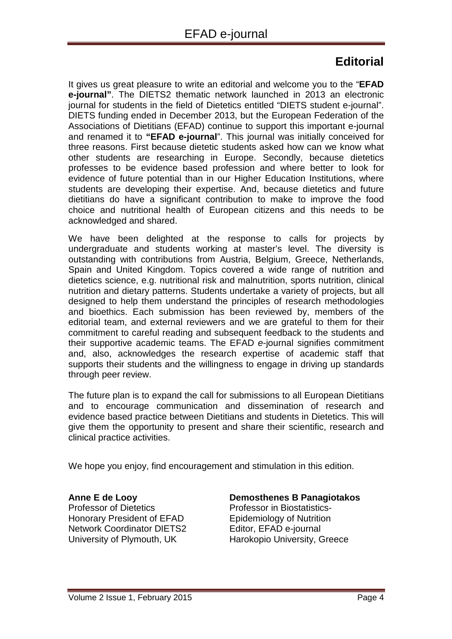# **Editorial**

It gives us great pleasure to write an editorial and welcome you to the "**EFAD e-journal"**. The DIETS2 thematic network launched in 2013 an electronic journal for students in the field of Dietetics entitled "DIETS student e-journal". DIETS funding ended in December 2013, but the European Federation of the Associations of Dietitians (EFAD) continue to support this important e-journal and renamed it to **"EFAD e-journal**". This journal was initially conceived for three reasons. First because dietetic students asked how can we know what other students are researching in Europe. Secondly, because dietetics professes to be evidence based profession and where better to look for evidence of future potential than in our Higher Education Institutions, where students are developing their expertise. And, because dietetics and future dietitians do have a significant contribution to make to improve the food choice and nutritional health of European citizens and this needs to be acknowledged and shared.

We have been delighted at the response to calls for projects by undergraduate and students working at master's level. The diversity is outstanding with contributions from Austria, Belgium, Greece, Netherlands, Spain and United Kingdom. Topics covered a wide range of nutrition and dietetics science, e.g. nutritional risk and malnutrition, sports nutrition, clinical nutrition and dietary patterns. Students undertake a variety of projects, but all designed to help them understand the principles of research methodologies and bioethics. Each submission has been reviewed by, members of the editorial team, and external reviewers and we are grateful to them for their commitment to careful reading and subsequent feedback to the students and their supportive academic teams. The EFAD e-journal signifies commitment and, also, acknowledges the research expertise of academic staff that supports their students and the willingness to engage in driving up standards through peer review.

The future plan is to expand the call for submissions to all European Dietitians and to encourage communication and dissemination of research and evidence based practice between Dietitians and students in Dietetics. This will give them the opportunity to present and share their scientific, research and clinical practice activities.

We hope you enjoy, find encouragement and stimulation in this edition.

#### **Anne E de Looy** Professor of Dietetics Honorary President of EFAD

Network Coordinator DIETS2 University of Plymouth, UK

## **Demosthenes B Panagiotakos**

Professor in Biostatistics-Epidemiology of Nutrition Editor, EFAD e-journal Harokopio University, Greece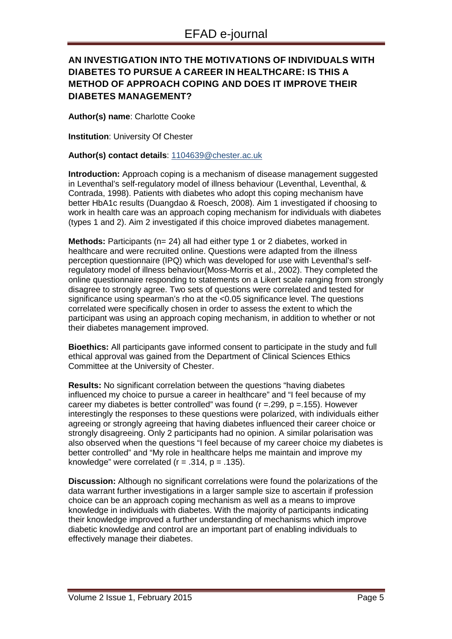# **AN INVESTIGATION INTO THE MOTIVATIONS OF INDIVIDUALS WITH DIABETES TO PURSUE A CAREER IN HEALTHCARE: IS THIS A METHOD OF APPROACH COPING AND DOES IT IMPROVE THEIR DIABETES MANAGEMENT?**

**Author(s) name**: Charlotte Cooke

**Institution**: University Of Chester

#### **Author(s) contact details**: 1104639@chester.ac.uk

**Introduction:** Approach coping is a mechanism of disease management suggested in Leventhal's self-regulatory model of illness behaviour (Leventhal, Leventhal, & Contrada, 1998). Patients with diabetes who adopt this coping mechanism have better HbA1c results (Duangdao & Roesch, 2008). Aim 1 investigated if choosing to work in health care was an approach coping mechanism for individuals with diabetes (types 1 and 2). Aim 2 investigated if this choice improved diabetes management.

**Methods:** Participants (n= 24) all had either type 1 or 2 diabetes, worked in healthcare and were recruited online. Questions were adapted from the illness perception questionnaire (IPQ) which was developed for use with Leventhal's selfregulatory model of illness behaviour(Moss-Morris et al., 2002). They completed the online questionnaire responding to statements on a Likert scale ranging from strongly disagree to strongly agree. Two sets of questions were correlated and tested for significance using spearman's rho at the <0.05 significance level. The questions correlated were specifically chosen in order to assess the extent to which the participant was using an approach coping mechanism, in addition to whether or not their diabetes management improved.

**Bioethics:** All participants gave informed consent to participate in the study and full ethical approval was gained from the Department of Clinical Sciences Ethics Committee at the University of Chester.

**Results:** No significant correlation between the questions "having diabetes influenced my choice to pursue a career in healthcare" and "I feel because of my career my diabetes is better controlled" was found ( $r = 299$ ,  $p = 155$ ). However interestingly the responses to these questions were polarized, with individuals either agreeing or strongly agreeing that having diabetes influenced their career choice or strongly disagreeing. Only 2 participants had no opinion. A similar polarisation was also observed when the questions "I feel because of my career choice my diabetes is better controlled" and "My role in healthcare helps me maintain and improve my knowledge" were correlated  $(r = .314, p = .135)$ .

**Discussion:** Although no significant correlations were found the polarizations of the data warrant further investigations in a larger sample size to ascertain if profession choice can be an approach coping mechanism as well as a means to improve knowledge in individuals with diabetes. With the majority of participants indicating their knowledge improved a further understanding of mechanisms which improve diabetic knowledge and control are an important part of enabling individuals to effectively manage their diabetes.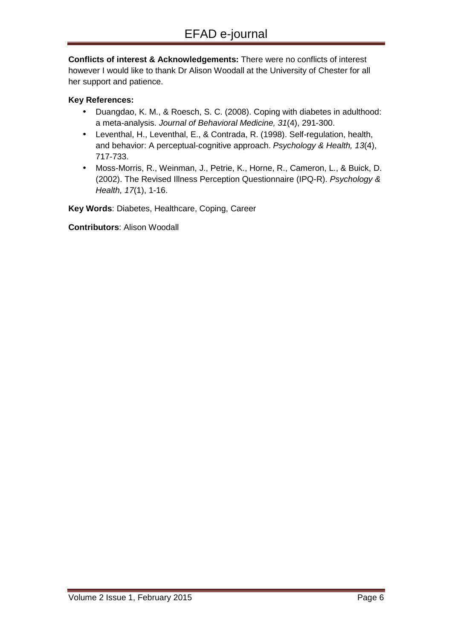**Conflicts of interest & Acknowledgements:** There were no conflicts of interest however I would like to thank Dr Alison Woodall at the University of Chester for all her support and patience.

#### **Key References:**

- Duangdao, K. M., & Roesch, S. C. (2008). Coping with diabetes in adulthood: a meta-analysis. Journal of Behavioral Medicine, 31(4), 291-300.
- Leventhal, H., Leventhal, E., & Contrada, R. (1998). Self-regulation, health, and behavior: A perceptual-cognitive approach. Psychology & Health, 13(4), 717-733.
- Moss-Morris, R., Weinman, J., Petrie, K., Horne, R., Cameron, L., & Buick, D. (2002). The Revised Illness Perception Questionnaire (IPQ-R). Psychology & Health, 17(1), 1-16.

**Key Words**: Diabetes, Healthcare, Coping, Career

**Contributors**: Alison Woodall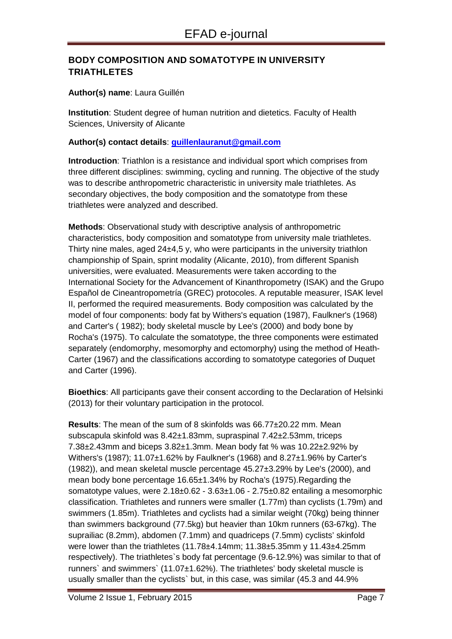# **BODY COMPOSITION AND SOMATOTYPE IN UNIVERSITY TRIATHLETES**

#### **Author(s) name**: Laura Guillén

**Institution**: Student degree of human nutrition and dietetics. Faculty of Health Sciences, University of Alicante

#### **Author(s) contact details**: **guillenlauranut@gmail.com**

**Introduction**: Triathlon is a resistance and individual sport which comprises from three different disciplines: swimming, cycling and running. The objective of the study was to describe anthropometric characteristic in university male triathletes. As secondary objectives, the body composition and the somatotype from these triathletes were analyzed and described.

**Methods**: Observational study with descriptive analysis of anthropometric characteristics, body composition and somatotype from university male triathletes. Thirty nine males, aged  $24\pm4.5$  y, who were participants in the university triathlon championship of Spain, sprint modality (Alicante, 2010), from different Spanish universities, were evaluated. Measurements were taken according to the International Society for the Advancement of Kinanthropometry (ISAK) and the Grupo Español de Cineantropometría (GREC) protocoles. A reputable measurer, ISAK level II, performed the required measurements. Body composition was calculated by the model of four components: body fat by Withers's equation (1987), Faulkner's (1968) and Carter's ( 1982); body skeletal muscle by Lee's (2000) and body bone by Rocha's (1975). To calculate the somatotype, the three components were estimated separately (endomorphy, mesomorphy and ectomorphy) using the method of Heath-Carter (1967) and the classifications according to somatotype categories of Duquet and Carter (1996).

**Bioethics**: All participants gave their consent according to the Declaration of Helsinki (2013) for their voluntary participation in the protocol.

**Results**: The mean of the sum of 8 skinfolds was 66.77±20.22 mm. Mean subscapula skinfold was 8.42±1.83mm, supraspinal 7.42±2.53mm, triceps 7.38±2.43mm and biceps 3.82±1.3mm. Mean body fat % was 10.22±2.92% by Withers's (1987); 11.07±1.62% by Faulkner's (1968) and 8.27±1.96% by Carter's (1982)), and mean skeletal muscle percentage 45.27±3.29% by Lee's (2000), and mean body bone percentage 16.65±1.34% by Rocha's (1975).Regarding the somatotype values, were 2.18±0.62 - 3.63±1.06 - 2.75±0.82 entailing a mesomorphic classification. Triathletes and runners were smaller (1.77m) than cyclists (1.79m) and swimmers (1.85m). Triathletes and cyclists had a similar weight (70kg) being thinner than swimmers background (77.5kg) but heavier than 10km runners (63-67kg). The suprailiac (8.2mm), abdomen (7.1mm) and quadriceps (7.5mm) cyclists' skinfold were lower than the triathletes (11.78±4.14mm; 11.38±5.35mm y 11.43±4.25mm respectively). The triathletes`s body fat percentage (9.6-12.9%) was similar to that of runners` and swimmers` (11.07±1.62%). The triathletes' body skeletal muscle is usually smaller than the cyclists` but, in this case, was similar (45.3 and 44.9%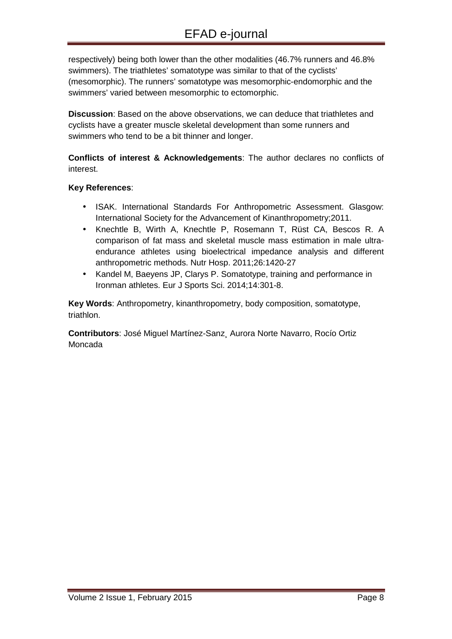respectively) being both lower than the other modalities (46.7% runners and 46.8% swimmers). The triathletes' somatotype was similar to that of the cyclists' (mesomorphic). The runners' somatotype was mesomorphic-endomorphic and the swimmers' varied between mesomorphic to ectomorphic.

**Discussion**: Based on the above observations, we can deduce that triathletes and cyclists have a greater muscle skeletal development than some runners and swimmers who tend to be a bit thinner and longer.

**Conflicts of interest & Acknowledgements**: The author declares no conflicts of interest.

#### **Key References**:

- ISAK. International Standards For Anthropometric Assessment. Glasgow: International Society for the Advancement of Kinanthropometry;2011.
- Knechtle B, Wirth A, Knechtle P, Rosemann T, Rüst CA, Bescos R. A comparison of fat mass and skeletal muscle mass estimation in male ultraendurance athletes using bioelectrical impedance analysis and different anthropometric methods. Nutr Hosp. 2011;26:1420-27
- Kandel M, Baeyens JP, Clarys P. Somatotype, training and performance in Ironman athletes. Eur J Sports Sci. 2014;14:301-8.

**Key Words**: Anthropometry, kinanthropometry, body composition, somatotype, triathlon.

**Contributors**: José Miguel Martínez-Sanz¸ Aurora Norte Navarro, Rocío Ortiz Moncada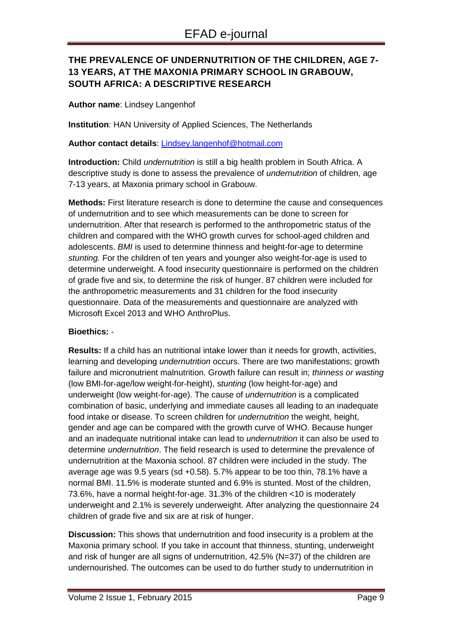# **THE PREVALENCE OF UNDERNUTRITION OF THE CHILDREN, AGE 7- 13 YEARS, AT THE MAXONIA PRIMARY SCHOOL IN GRABOUW, SOUTH AFRICA: A DESCRIPTIVE RESEARCH**

#### **Author name**: Lindsey Langenhof

**Institution**: HAN University of Applied Sciences, The Netherlands

#### **Author contact details**: Lindsey.langenhof@hotmail.com

**Introduction:** Child undernutrition is still a big health problem in South Africa. A descriptive study is done to assess the prevalence of undernutrition of children, age 7-13 years, at Maxonia primary school in Grabouw.

**Methods:** First literature research is done to determine the cause and consequences of undernutrition and to see which measurements can be done to screen for undernutrition. After that research is performed to the anthropometric status of the children and compared with the WHO growth curves for school-aged children and adolescents. BMI is used to determine thinness and height-for-age to determine stunting. For the children of ten years and younger also weight-for-age is used to determine underweight. A food insecurity questionnaire is performed on the children of grade five and six, to determine the risk of hunger. 87 children were included for the anthropometric measurements and 31 children for the food insecurity questionnaire. Data of the measurements and questionnaire are analyzed with Microsoft Excel 2013 and WHO AnthroPlus.

#### **Bioethics:** -

**Results:** If a child has an nutritional intake lower than it needs for growth, activities, learning and developing *undernutrition* occurs. There are two manifestations; growth failure and micronutrient malnutrition. Growth failure can result in; *thinness or wasting* (low BMI-for-age/low weight-for-height), stunting (low height-for-age) and underweight (low weight-for-age). The cause of undernutrition is a complicated combination of basic, underlying and immediate causes all leading to an inadequate food intake or disease. To screen children for undernutrition the weight, height, gender and age can be compared with the growth curve of WHO. Because hunger and an inadequate nutritional intake can lead to undernutrition it can also be used to determine undernutrition. The field research is used to determine the prevalence of undernutrition at the Maxonia school. 87 children were included in the study. The average age was 9.5 years (sd +0.58). 5.7% appear to be too thin, 78.1% have a normal BMI. 11.5% is moderate stunted and 6.9% is stunted. Most of the children, 73.6%, have a normal height-for-age. 31.3% of the children <10 is moderately underweight and 2.1% is severely underweight. After analyzing the questionnaire 24 children of grade five and six are at risk of hunger.

**Discussion:** This shows that undernutrition and food insecurity is a problem at the Maxonia primary school. If you take in account that thinness, stunting, underweight and risk of hunger are all signs of undernutrition, 42.5% (N=37) of the children are undernourished. The outcomes can be used to do further study to undernutrition in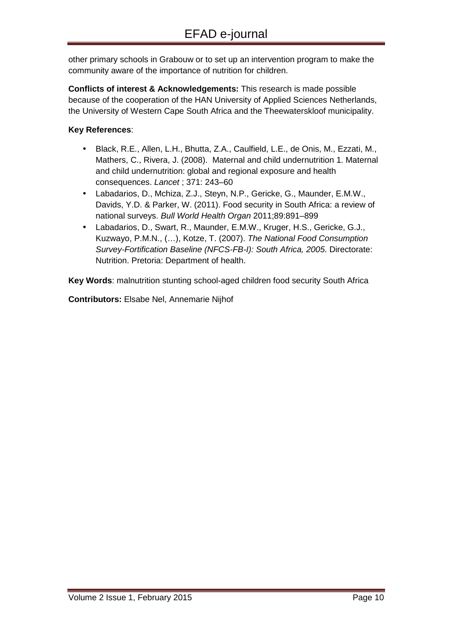other primary schools in Grabouw or to set up an intervention program to make the community aware of the importance of nutrition for children.

**Conflicts of interest & Acknowledgements:** This research is made possible because of the cooperation of the HAN University of Applied Sciences Netherlands, the University of Western Cape South Africa and the Theewaterskloof municipality.

## **Key References**:

- Black, R.E., Allen, L.H., Bhutta, Z.A., Caulfield, L.E., de Onis, M., Ezzati, M., Mathers, C., Rivera, J. (2008). Maternal and child undernutrition 1. Maternal and child undernutrition: global and regional exposure and health consequences. Lancet ; 371: 243–60
- Labadarios, D., Mchiza, Z.J., Steyn, N.P., Gericke, G., Maunder, E.M.W., Davids, Y.D. & Parker, W. (2011). Food security in South Africa: a review of national surveys. Bull World Health Organ 2011;89:891–899
- Labadarios, D., Swart, R., Maunder, E.M.W., Kruger, H.S., Gericke, G.J., Kuzwayo, P.M.N., (…), Kotze, T. (2007). The National Food Consumption Survey-Fortification Baseline (NFCS-FB-I): South Africa, 2005. Directorate: Nutrition. Pretoria: Department of health.

**Key Words**: malnutrition stunting school-aged children food security South Africa

**Contributors:** Elsabe Nel, Annemarie Nijhof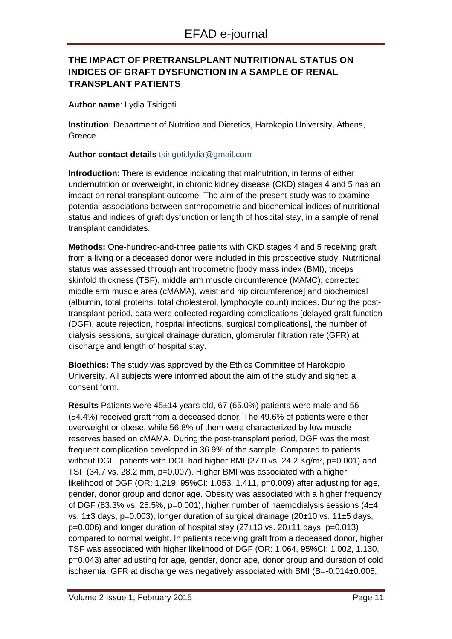# **THE IMPACT OF PRETRANSLPLANT NUTRITIONAL STATUS ON INDICES OF GRAFT DYSFUNCTION IN A SAMPLE OF RENAL TRANSPLANT PATIENTS**

**Author name**: Lydia Tsirigoti

**Institution**: Department of Nutrition and Dietetics, Harokopio University, Athens, Greece

**Author contact details** tsirigoti.lydia@gmail.com

**Introduction**: There is evidence indicating that malnutrition, in terms of either undernutrition or overweight, in chronic kidney disease (CKD) stages 4 and 5 has an impact on renal transplant outcome. The aim of the present study was to examine potential associations between anthropometric and biochemical indices of nutritional status and indices of graft dysfunction or length of hospital stay, in a sample of renal transplant candidates.

**Methods:** One-hundred-and-three patients with CKD stages 4 and 5 receiving graft from a living or a deceased donor were included in this prospective study. Nutritional status was assessed through anthropometric [body mass index (BMI), triceps skinfold thickness (TSF), middle arm muscle circumference (MAMC), corrected middle arm muscle area (cMAMA), waist and hip circumference] and biochemical (albumin, total proteins, total cholesterol, lymphocyte count) indices. During the posttransplant period, data were collected regarding complications [delayed graft function (DGF), acute rejection, hospital infections, surgical complications], the number of dialysis sessions, surgical drainage duration, glomerular filtration rate (GFR) at discharge and length of hospital stay.

**Bioethics:** The study was approved by the Ethics Committee of Harokopio University. All subjects were informed about the aim of the study and signed a consent form.

**Results** Patients were 45±14 years old, 67 (65.0%) patients were male and 56 (54.4%) received graft from a deceased donor. The 49.6% of patients were either overweight or obese, while 56.8% of them were characterized by low muscle reserves based on cMAMA. During the post-transplant period, DGF was the most frequent complication developed in 36.9% of the sample. Compared to patients without DGF, patients with DGF had higher BMI (27.0 vs. 24.2 Kg/m<sup>2</sup>, p=0.001) and TSF (34.7 vs. 28.2 mm, p=0.007). Higher BMI was associated with a higher likelihood of DGF (OR: 1.219, 95%CI: 1.053, 1.411, p=0.009) after adjusting for age, gender, donor group and donor age. Obesity was associated with a higher frequency of DGF (83.3% vs. 25.5%, p=0.001), higher number of haemodialysis sessions (4 $\pm$ 4 vs. 1±3 days, p=0.003), longer duration of surgical drainage (20±10 vs. 11±5 days, p=0.006) and longer duration of hospital stay (27±13 vs. 20±11 days, p=0.013) compared to normal weight. In patients receiving graft from a deceased donor, higher TSF was associated with higher likelihood of DGF (OR: 1.064, 95%CI: 1.002, 1.130, p=0.043) after adjusting for age, gender, donor age, donor group and duration of cold ischaemia. GFR at discharge was negatively associated with BMI (B=-0.014±0.005,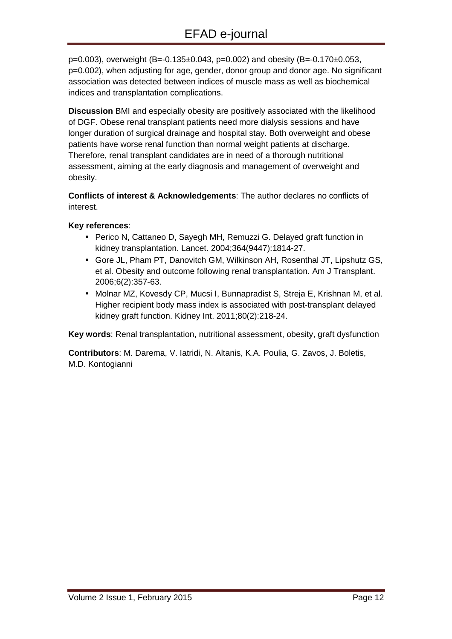$p=0.003$ ), overweight (B=-0.135 $\pm$ 0.043, p=0.002) and obesity (B=-0.170 $\pm$ 0.053, p=0.002), when adjusting for age, gender, donor group and donor age. No significant association was detected between indices of muscle mass as well as biochemical indices and transplantation complications.

**Discussion** BMI and especially obesity are positively associated with the likelihood of DGF. Obese renal transplant patients need more dialysis sessions and have longer duration of surgical drainage and hospital stay. Both overweight and obese patients have worse renal function than normal weight patients at discharge. Therefore, renal transplant candidates are in need of a thorough nutritional assessment, aiming at the early diagnosis and management of overweight and obesity.

**Conflicts of interest & Acknowledgements**: The author declares no conflicts of interest.

#### **Key references**:

- Perico N, Cattaneo D, Sayegh MH, Remuzzi G. Delayed graft function in kidney transplantation. Lancet. 2004;364(9447):1814-27.
- Gore JL, Pham PT, Danovitch GM, Wilkinson AH, Rosenthal JT, Lipshutz GS, et al. Obesity and outcome following renal transplantation. Am J Transplant. 2006;6(2):357-63.
- Molnar MZ, Kovesdy CP, Mucsi I, Bunnapradist S, Streja E, Krishnan M, et al. Higher recipient body mass index is associated with post-transplant delayed kidney graft function. Kidney Int. 2011;80(2):218-24.

**Key words**: Renal transplantation, nutritional assessment, obesity, graft dysfunction

**Contributors**: M. Darema, V. Iatridi, N. Altanis, K.A. Poulia, G. Zavos, J. Boletis, M.D. Kontogianni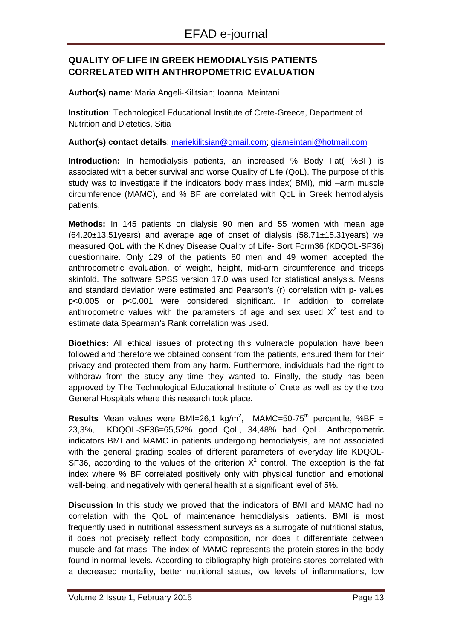# **QUALITY OF LIFE IN GREEK HEMODIALYSIS PATIENTS CORRELATED WITH ANTHROPOMETRIC EVALUATION**

**Author(s) name**: Maria Angeli-Kilitsian; Ioanna Meintani

**Institution**: Technological Educational Institute of Crete-Greece, Department of Nutrition and Dietetics, Sitia

**Author(s) contact details**: mariekilitsian@gmail.com; giameintani@hotmail.com

**Introduction:** In hemodialysis patients, an increased % Body Fat( %BF) is associated with a better survival and worse Quality of Life (QoL). The purpose of this study was to investigate if the indicators body mass index( BMI), mid –arm muscle circumference (MAMC), and % BF are correlated with QoL in Greek hemodialysis patients.

**Methods:** In 145 patients on dialysis 90 men and 55 women with mean age (64.20±13.51years) and average age of onset of dialysis (58.71±15.31years) we measured QoL with the Kidney Disease Quality of Life- Sort Form36 (KDQOL-SF36) questionnaire. Only 129 of the patients 80 men and 49 women accepted the anthropometric evaluation, of weight, height, mid-arm circumference and triceps skinfold. The software SPSS version 17.0 was used for statistical analysis. Means and standard deviation were estimated and Pearson's (r) correlation with p- values p<0.005 or p<0.001 were considered significant. In addition to correlate anthropometric values with the parameters of age and sex used  $X^2$  test and to estimate data Spearman's Rank correlation was used.

**Bioethics:** All ethical issues of protecting this vulnerable population have been followed and therefore we obtained consent from the patients, ensured them for their privacy and protected them from any harm. Furthermore, individuals had the right to withdraw from the study any time they wanted to. Finally, the study has been approved by The Technological Educational Institute of Crete as well as by the two General Hospitals where this research took place.

**Results** Mean values were BMI=26,1 kg/m<sup>2</sup>, MAMC=50-75<sup>th</sup> percentile, %BF = 23,3%, KDQOL-SF36=65,52% good QoL, 34,48% bad QoL. Anthropometric indicators BMI and MAMC in patients undergoing hemodialysis, are not associated with the general grading scales of different parameters of everyday life KDQOL-SF36, according to the values of the criterion  $X^2$  control. The exception is the fat index where % BF correlated positively only with physical function and emotional well-being, and negatively with general health at a significant level of 5%.

**Discussion** In this study we proved that the indicators of BMI and MAMC had no correlation with the QoL of maintenance hemodialysis patients. BMI is most frequently used in nutritional assessment surveys as a surrogate of nutritional status, it does not precisely reflect body composition, nor does it differentiate between muscle and fat mass. The index of MAMC represents the protein stores in the body found in normal levels. According to bibliography high proteins stores correlated with a decreased mortality, better nutritional status, low levels of inflammations, low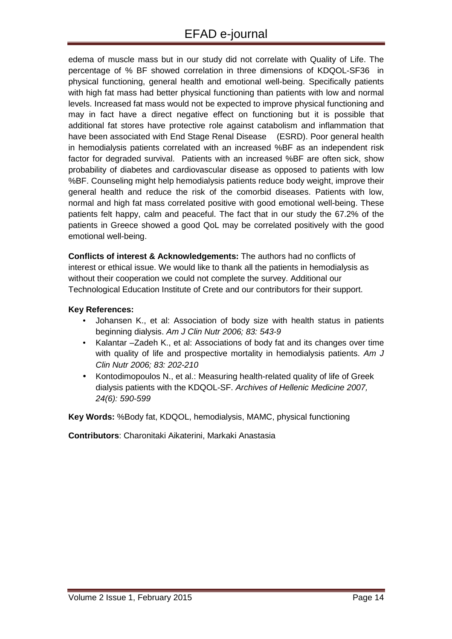edema of muscle mass but in our study did not correlate with Quality of Life. The percentage of % BF showed correlation in three dimensions of KDQOL-SF36 in physical functioning, general health and emotional well-being. Specifically patients with high fat mass had better physical functioning than patients with low and normal levels. Increased fat mass would not be expected to improve physical functioning and may in fact have a direct negative effect on functioning but it is possible that additional fat stores have protective role against catabolism and inflammation that have been associated with End Stage Renal Disease (ESRD). Poor general health in hemodialysis patients correlated with an increased %BF as an independent risk factor for degraded survival. Patients with an increased %BF are often sick, show probability of diabetes and cardiovascular disease as opposed to patients with low %BF. Counseling might help hemodialysis patients reduce body weight, improve their general health and reduce the risk of the comorbid diseases. Patients with low, normal and high fat mass correlated positive with good emotional well-being. These patients felt happy, calm and peaceful. The fact that in our study the 67.2% of the patients in Greece showed a good QoL may be correlated positively with the good emotional well-being.

**Conflicts of interest & Acknowledgements:** The authors had no conflicts of interest or ethical issue. We would like to thank all the patients in hemodialysis as without their cooperation we could not complete the survey. Additional our Technological Education Institute of Crete and our contributors for their support.

#### **Key References:**

- Johansen K., et al: Association of body size with health status in patients beginning dialysis. Am J Clin Nutr 2006; 83: 543-9
- Kalantar –Zadeh K., et al: Associations of body fat and its changes over time with quality of life and prospective mortality in hemodialysis patients. Am J Clin Nutr 2006; 83: 202-210
- Kontodimopoulos N., et al.: Measuring health-related quality of life of Greek dialysis patients with the KDQOL-SF. Archives of Hellenic Medicine 2007, 24(6): 590-599

**Key Words:** %Body fat, KDQOL, hemodialysis, MAMC, physical functioning

**Contributors**: Charonitaki Aikaterini, Markaki Anastasia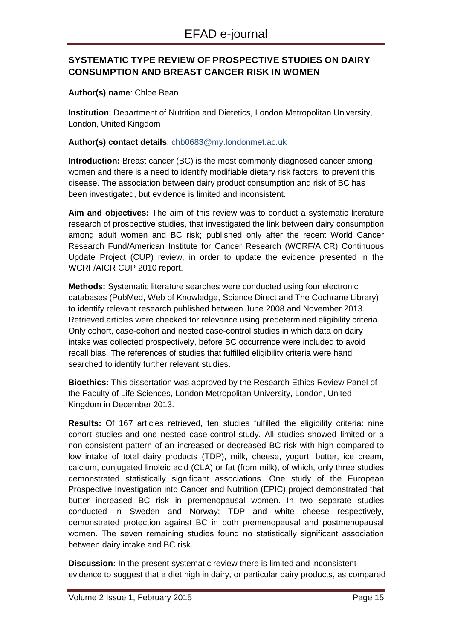# **SYSTEMATIC TYPE REVIEW OF PROSPECTIVE STUDIES ON DAIRY CONSUMPTION AND BREAST CANCER RISK IN WOMEN**

#### **Author(s) name**: Chloe Bean

**Institution**: Department of Nutrition and Dietetics, London Metropolitan University, London, United Kingdom

#### **Author(s) contact details**: chb0683@my.londonmet.ac.uk

**Introduction:** Breast cancer (BC) is the most commonly diagnosed cancer among women and there is a need to identify modifiable dietary risk factors, to prevent this disease. The association between dairy product consumption and risk of BC has been investigated, but evidence is limited and inconsistent.

**Aim and objectives:** The aim of this review was to conduct a systematic literature research of prospective studies, that investigated the link between dairy consumption among adult women and BC risk; published only after the recent World Cancer Research Fund/American Institute for Cancer Research (WCRF/AICR) Continuous Update Project (CUP) review, in order to update the evidence presented in the WCRF/AICR CUP 2010 report.

**Methods:** Systematic literature searches were conducted using four electronic databases (PubMed, Web of Knowledge, Science Direct and The Cochrane Library) to identify relevant research published between June 2008 and November 2013. Retrieved articles were checked for relevance using predetermined eligibility criteria. Only cohort, case-cohort and nested case-control studies in which data on dairy intake was collected prospectively, before BC occurrence were included to avoid recall bias. The references of studies that fulfilled eligibility criteria were hand searched to identify further relevant studies.

**Bioethics:** This dissertation was approved by the Research Ethics Review Panel of the Faculty of Life Sciences, London Metropolitan University, London, United Kingdom in December 2013.

**Results:** Of 167 articles retrieved, ten studies fulfilled the eligibility criteria: nine cohort studies and one nested case-control study. All studies showed limited or a non-consistent pattern of an increased or decreased BC risk with high compared to low intake of total dairy products (TDP), milk, cheese, yogurt, butter, ice cream, calcium, conjugated linoleic acid (CLA) or fat (from milk), of which, only three studies demonstrated statistically significant associations. One study of the European Prospective Investigation into Cancer and Nutrition (EPIC) project demonstrated that butter increased BC risk in premenopausal women. In two separate studies conducted in Sweden and Norway; TDP and white cheese respectively, demonstrated protection against BC in both premenopausal and postmenopausal women. The seven remaining studies found no statistically significant association between dairy intake and BC risk.

**Discussion:** In the present systematic review there is limited and inconsistent evidence to suggest that a diet high in dairy, or particular dairy products, as compared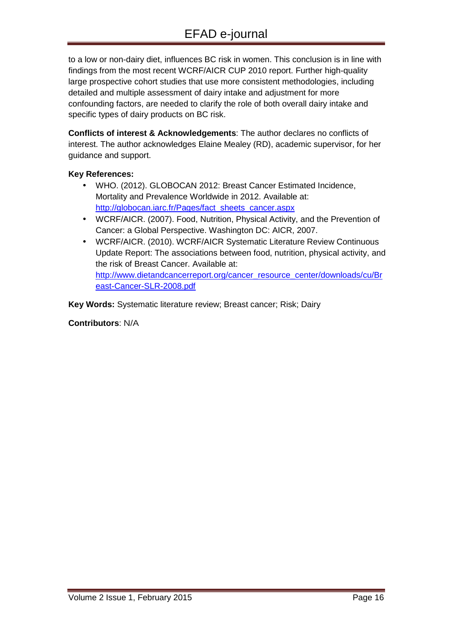to a low or non-dairy diet, influences BC risk in women. This conclusion is in line with findings from the most recent WCRF/AICR CUP 2010 report. Further high-quality large prospective cohort studies that use more consistent methodologies, including detailed and multiple assessment of dairy intake and adjustment for more confounding factors, are needed to clarify the role of both overall dairy intake and specific types of dairy products on BC risk.

**Conflicts of interest & Acknowledgements**: The author declares no conflicts of interest. The author acknowledges Elaine Mealey (RD), academic supervisor, for her guidance and support.

#### **Key References:**

- WHO. (2012). GLOBOCAN 2012: Breast Cancer Estimated Incidence, Mortality and Prevalence Worldwide in 2012. Available at: http://globocan.iarc.fr/Pages/fact\_sheets\_cancer.aspx
- WCRF/AICR. (2007). Food, Nutrition, Physical Activity, and the Prevention of Cancer: a Global Perspective. Washington DC: AICR, 2007.
- WCRF/AICR. (2010). WCRF/AICR Systematic Literature Review Continuous Update Report: The associations between food, nutrition, physical activity, and the risk of Breast Cancer. Available at: http://www.dietandcancerreport.org/cancer\_resource\_center/downloads/cu/Br east-Cancer-SLR-2008.pdf

**Key Words:** Systematic literature review; Breast cancer; Risk; Dairy

**Contributors**: N/A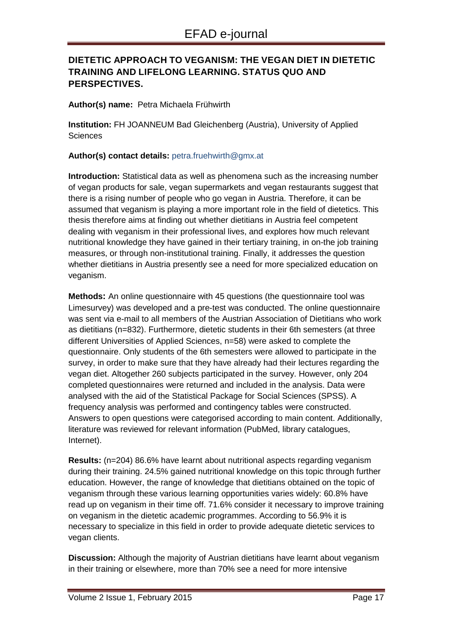# **DIETETIC APPROACH TO VEGANISM: THE VEGAN DIET IN DIETETIC TRAINING AND LIFELONG LEARNING. STATUS QUO AND PERSPECTIVES.**

**Author(s) name:** Petra Michaela Frühwirth

**Institution:** FH JOANNEUM Bad Gleichenberg (Austria), University of Applied **Sciences** 

**Author(s) contact details:** petra.fruehwirth@gmx.at

**Introduction:** Statistical data as well as phenomena such as the increasing number of vegan products for sale, vegan supermarkets and vegan restaurants suggest that there is a rising number of people who go vegan in Austria. Therefore, it can be assumed that veganism is playing a more important role in the field of dietetics. This thesis therefore aims at finding out whether dietitians in Austria feel competent dealing with veganism in their professional lives, and explores how much relevant nutritional knowledge they have gained in their tertiary training, in on-the job training measures, or through non-institutional training. Finally, it addresses the question whether dietitians in Austria presently see a need for more specialized education on veganism.

**Methods:** An online questionnaire with 45 questions (the questionnaire tool was Limesurvey) was developed and a pre-test was conducted. The online questionnaire was sent via e-mail to all members of the Austrian Association of Dietitians who work as dietitians (n=832). Furthermore, dietetic students in their 6th semesters (at three different Universities of Applied Sciences, n=58) were asked to complete the questionnaire. Only students of the 6th semesters were allowed to participate in the survey, in order to make sure that they have already had their lectures regarding the vegan diet. Altogether 260 subjects participated in the survey. However, only 204 completed questionnaires were returned and included in the analysis. Data were analysed with the aid of the Statistical Package for Social Sciences (SPSS). A frequency analysis was performed and contingency tables were constructed. Answers to open questions were categorised according to main content. Additionally, literature was reviewed for relevant information (PubMed, library catalogues, Internet).

**Results:** (n=204) 86.6% have learnt about nutritional aspects regarding veganism during their training. 24.5% gained nutritional knowledge on this topic through further education. However, the range of knowledge that dietitians obtained on the topic of veganism through these various learning opportunities varies widely: 60.8% have read up on veganism in their time off. 71.6% consider it necessary to improve training on veganism in the dietetic academic programmes. According to 56.9% it is necessary to specialize in this field in order to provide adequate dietetic services to vegan clients.

**Discussion:** Although the majority of Austrian dietitians have learnt about veganism in their training or elsewhere, more than 70% see a need for more intensive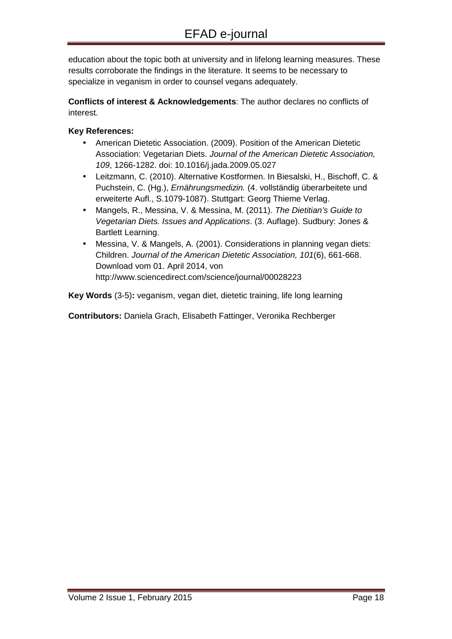education about the topic both at university and in lifelong learning measures. These results corroborate the findings in the literature. It seems to be necessary to specialize in veganism in order to counsel vegans adequately.

**Conflicts of interest & Acknowledgements**: The author declares no conflicts of interest.

### **Key References:**

- American Dietetic Association. (2009). Position of the American Dietetic Association: Vegetarian Diets. Journal of the American Dietetic Association, 109, 1266-1282. doi: 10.1016/j.jada.2009.05.027
- Leitzmann, C. (2010). Alternative Kostformen. In Biesalski, H., Bischoff, C. & Puchstein, C. (Hg.), Ernährungsmedizin. (4. vollständig überarbeitete und erweiterte Aufl., S.1079-1087). Stuttgart: Georg Thieme Verlag.
- Mangels, R., Messina, V. & Messina, M. (2011). The Dietitian's Guide to Vegetarian Diets. Issues and Applications. (3. Auflage). Sudbury: Jones & Bartlett Learning.
- Messina, V. & Mangels, A. (2001). Considerations in planning vegan diets: Children. Journal of the American Dietetic Association, 101(6), 661-668. Download vom 01. April 2014, von http://www.sciencedirect.com/science/journal/00028223

**Key Words** (3-5)**:** veganism, vegan diet, dietetic training, life long learning

**Contributors:** Daniela Grach, Elisabeth Fattinger, Veronika Rechberger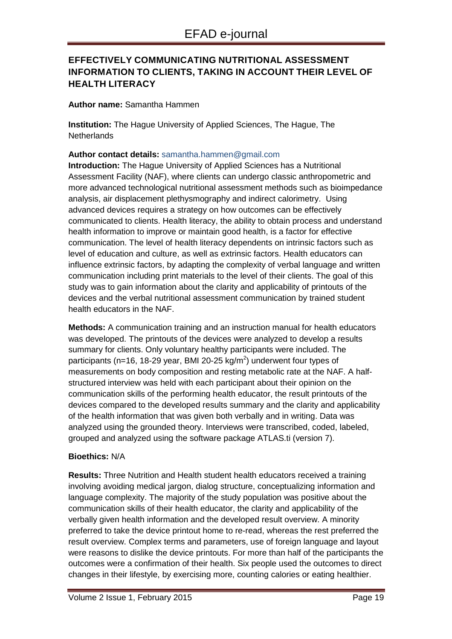# **EFFECTIVELY COMMUNICATING NUTRITIONAL ASSESSMENT INFORMATION TO CLIENTS, TAKING IN ACCOUNT THEIR LEVEL OF HEALTH LITERACY**

**Author name:** Samantha Hammen

**Institution:** The Hague University of Applied Sciences, The Hague, The **Netherlands** 

**Author contact details:** samantha.hammen@gmail.com

**Introduction:** The Hague University of Applied Sciences has a Nutritional Assessment Facility (NAF), where clients can undergo classic anthropometric and more advanced technological nutritional assessment methods such as bioimpedance analysis, air displacement plethysmography and indirect calorimetry. Using advanced devices requires a strategy on how outcomes can be effectively communicated to clients. Health literacy, the ability to obtain process and understand health information to improve or maintain good health, is a factor for effective communication. The level of health literacy dependents on intrinsic factors such as level of education and culture, as well as extrinsic factors. Health educators can influence extrinsic factors, by adapting the complexity of verbal language and written communication including print materials to the level of their clients. The goal of this study was to gain information about the clarity and applicability of printouts of the devices and the verbal nutritional assessment communication by trained student health educators in the NAF.

**Methods:** A communication training and an instruction manual for health educators was developed. The printouts of the devices were analyzed to develop a results summary for clients. Only voluntary healthy participants were included. The participants (n=16, 18-29 year, BMI 20-25 kg/m<sup>2</sup>) underwent four types of measurements on body composition and resting metabolic rate at the NAF. A halfstructured interview was held with each participant about their opinion on the communication skills of the performing health educator, the result printouts of the devices compared to the developed results summary and the clarity and applicability of the health information that was given both verbally and in writing. Data was analyzed using the grounded theory. Interviews were transcribed, coded, labeled, grouped and analyzed using the software package ATLAS.ti (version 7).

#### **Bioethics:** N/A

**Results:** Three Nutrition and Health student health educators received a training involving avoiding medical jargon, dialog structure, conceptualizing information and language complexity. The majority of the study population was positive about the communication skills of their health educator, the clarity and applicability of the verbally given health information and the developed result overview. A minority preferred to take the device printout home to re-read, whereas the rest preferred the result overview. Complex terms and parameters, use of foreign language and layout were reasons to dislike the device printouts. For more than half of the participants the outcomes were a confirmation of their health. Six people used the outcomes to direct changes in their lifestyle, by exercising more, counting calories or eating healthier.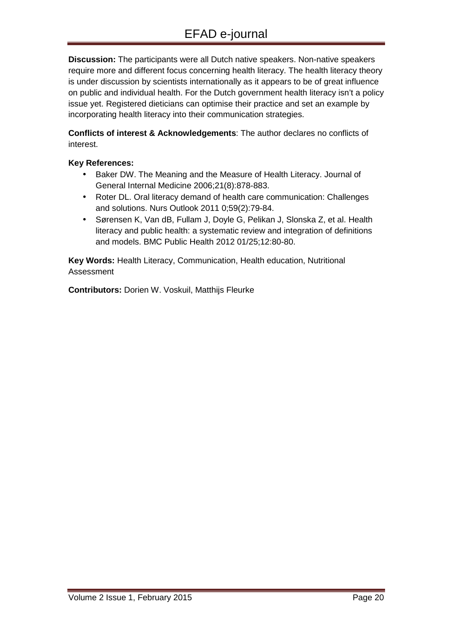**Discussion:** The participants were all Dutch native speakers. Non-native speakers require more and different focus concerning health literacy. The health literacy theory is under discussion by scientists internationally as it appears to be of great influence on public and individual health. For the Dutch government health literacy isn't a policy issue yet. Registered dieticians can optimise their practice and set an example by incorporating health literacy into their communication strategies.

**Conflicts of interest & Acknowledgements**: The author declares no conflicts of interest.

#### **Key References:**

- Baker DW. The Meaning and the Measure of Health Literacy. Journal of General Internal Medicine 2006;21(8):878-883.
- Roter DL. Oral literacy demand of health care communication: Challenges and solutions. Nurs Outlook 2011 0;59(2):79-84.
- Sørensen K, Van dB, Fullam J, Doyle G, Pelikan J, Slonska Z, et al. Health literacy and public health: a systematic review and integration of definitions and models. BMC Public Health 2012 01/25;12:80-80.

**Key Words:** Health Literacy, Communication, Health education, Nutritional Assessment

**Contributors:** Dorien W. Voskuil, Matthijs Fleurke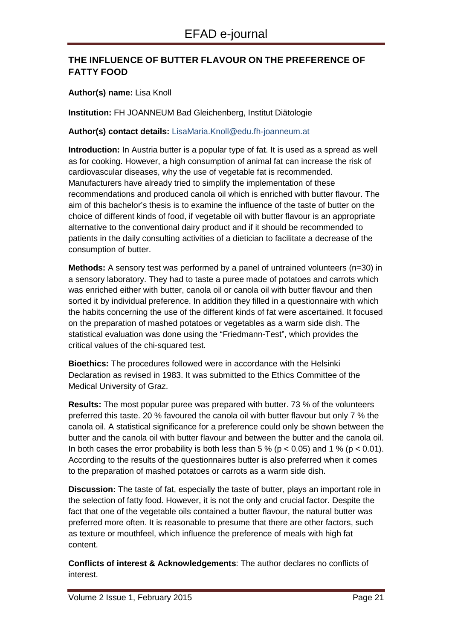# **THE INFLUENCE OF BUTTER FLAVOUR ON THE PREFERENCE OF FATTY FOOD**

#### **Author(s) name:** Lisa Knoll

**Institution:** FH JOANNEUM Bad Gleichenberg, Institut Diätologie

#### **Author(s) contact details:** LisaMaria.Knoll@edu.fh-joanneum.at

**Introduction:** In Austria butter is a popular type of fat. It is used as a spread as well as for cooking. However, a high consumption of animal fat can increase the risk of cardiovascular diseases, why the use of vegetable fat is recommended. Manufacturers have already tried to simplify the implementation of these recommendations and produced canola oil which is enriched with butter flavour. The aim of this bachelor's thesis is to examine the influence of the taste of butter on the choice of different kinds of food, if vegetable oil with butter flavour is an appropriate alternative to the conventional dairy product and if it should be recommended to patients in the daily consulting activities of a dietician to facilitate a decrease of the consumption of butter.

**Methods:** A sensory test was performed by a panel of untrained volunteers (n=30) in a sensory laboratory. They had to taste a puree made of potatoes and carrots which was enriched either with butter, canola oil or canola oil with butter flavour and then sorted it by individual preference. In addition they filled in a questionnaire with which the habits concerning the use of the different kinds of fat were ascertained. It focused on the preparation of mashed potatoes or vegetables as a warm side dish. The statistical evaluation was done using the "Friedmann-Test", which provides the critical values of the chi-squared test.

**Bioethics:** The procedures followed were in accordance with the Helsinki Declaration as revised in 1983. It was submitted to the Ethics Committee of the Medical University of Graz.

**Results:** The most popular puree was prepared with butter. 73 % of the volunteers preferred this taste. 20 % favoured the canola oil with butter flavour but only 7 % the canola oil. A statistical significance for a preference could only be shown between the butter and the canola oil with butter flavour and between the butter and the canola oil. In both cases the error probability is both less than  $5\%$  (p < 0.05) and 1 % (p < 0.01). According to the results of the questionnaires butter is also preferred when it comes to the preparation of mashed potatoes or carrots as a warm side dish.

**Discussion:** The taste of fat, especially the taste of butter, plays an important role in the selection of fatty food. However, it is not the only and crucial factor. Despite the fact that one of the vegetable oils contained a butter flavour, the natural butter was preferred more often. It is reasonable to presume that there are other factors, such as texture or mouthfeel, which influence the preference of meals with high fat content.

**Conflicts of interest & Acknowledgements**: The author declares no conflicts of interest.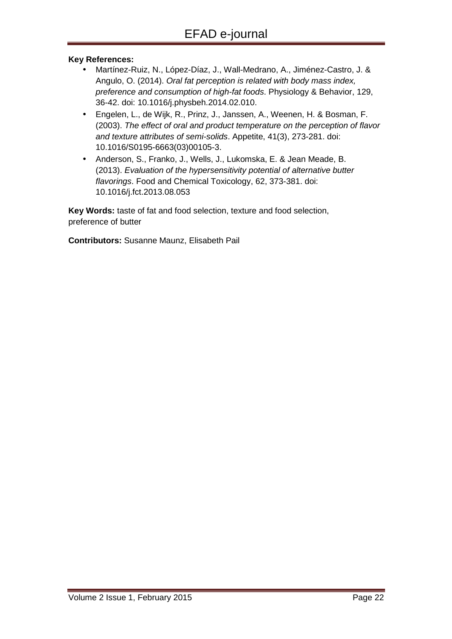#### **Key References:**

- Martínez-Ruiz, N., López-Díaz, J., Wall-Medrano, A., Jiménez-Castro, J. & Angulo, O. (2014). Oral fat perception is related with body mass index, preference and consumption of high-fat foods. Physiology & Behavior, 129, 36-42. doi: 10.1016/j.physbeh.2014.02.010.
- Engelen, L., de Wijk, R., Prinz, J., Janssen, A., Weenen, H. & Bosman, F. (2003). The effect of oral and product temperature on the perception of flavor and texture attributes of semi-solids. Appetite, 41(3), 273-281. doi: 10.1016/S0195-6663(03)00105-3.
- Anderson, S., Franko, J., Wells, J., Lukomska, E. & Jean Meade, B. (2013). Evaluation of the hypersensitivity potential of alternative butter flavorings. Food and Chemical Toxicology, 62, 373-381. doi: 10.1016/j.fct.2013.08.053

**Key Words:** taste of fat and food selection, texture and food selection, preference of butter

**Contributors:** Susanne Maunz, Elisabeth Pail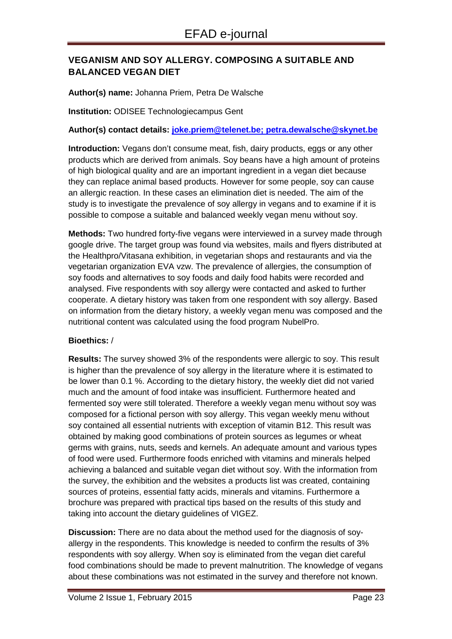# **VEGANISM AND SOY ALLERGY. COMPOSING A SUITABLE AND BALANCED VEGAN DIET**

#### **Author(s) name:** Johanna Priem, Petra De Walsche

#### **Institution:** ODISEE Technologiecampus Gent

#### **Author(s) contact details: joke.priem@telenet.be; petra.dewalsche@skynet.be**

**Introduction:** Vegans don't consume meat, fish, dairy products, eggs or any other products which are derived from animals. Soy beans have a high amount of proteins of high biological quality and are an important ingredient in a vegan diet because they can replace animal based products. However for some people, soy can cause an allergic reaction. In these cases an elimination diet is needed. The aim of the study is to investigate the prevalence of soy allergy in vegans and to examine if it is possible to compose a suitable and balanced weekly vegan menu without soy.

**Methods:** Two hundred forty-five vegans were interviewed in a survey made through google drive. The target group was found via websites, mails and flyers distributed at the Healthpro/Vitasana exhibition, in vegetarian shops and restaurants and via the vegetarian organization EVA vzw. The prevalence of allergies, the consumption of soy foods and alternatives to soy foods and daily food habits were recorded and analysed. Five respondents with soy allergy were contacted and asked to further cooperate. A dietary history was taken from one respondent with soy allergy. Based on information from the dietary history, a weekly vegan menu was composed and the nutritional content was calculated using the food program NubelPro.

#### **Bioethics:** /

**Results:** The survey showed 3% of the respondents were allergic to soy. This result is higher than the prevalence of soy allergy in the literature where it is estimated to be lower than 0.1 %. According to the dietary history, the weekly diet did not varied much and the amount of food intake was insufficient. Furthermore heated and fermented soy were still tolerated. Therefore a weekly vegan menu without soy was composed for a fictional person with soy allergy. This vegan weekly menu without soy contained all essential nutrients with exception of vitamin B12. This result was obtained by making good combinations of protein sources as legumes or wheat germs with grains, nuts, seeds and kernels. An adequate amount and various types of food were used. Furthermore foods enriched with vitamins and minerals helped achieving a balanced and suitable vegan diet without soy. With the information from the survey, the exhibition and the websites a products list was created, containing sources of proteins, essential fatty acids, minerals and vitamins. Furthermore a brochure was prepared with practical tips based on the results of this study and taking into account the dietary guidelines of VIGEZ.

**Discussion:** There are no data about the method used for the diagnosis of soyallergy in the respondents. This knowledge is needed to confirm the results of 3% respondents with soy allergy. When soy is eliminated from the vegan diet careful food combinations should be made to prevent malnutrition. The knowledge of vegans about these combinations was not estimated in the survey and therefore not known.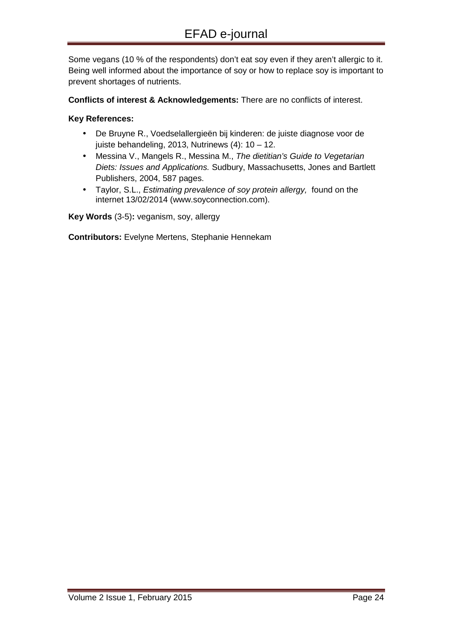Some vegans (10 % of the respondents) don't eat soy even if they aren't allergic to it. Being well informed about the importance of soy or how to replace soy is important to prevent shortages of nutrients.

**Conflicts of interest & Acknowledgements:** There are no conflicts of interest.

#### **Key References:**

- De Bruyne R., Voedselallergieën bij kinderen: de juiste diagnose voor de juiste behandeling, 2013, Nutrinews  $(4)$ : 10 - 12.
- Messina V., Mangels R., Messina M., The dietitian's Guide to Vegetarian Diets: Issues and Applications. Sudbury, Massachusetts, Jones and Bartlett Publishers, 2004, 587 pages.
- Taylor, S.L., Estimating prevalence of soy protein allergy, found on the internet 13/02/2014 (www.soyconnection.com).

**Key Words** (3-5)**:** veganism, soy, allergy

**Contributors:** Evelyne Mertens, Stephanie Hennekam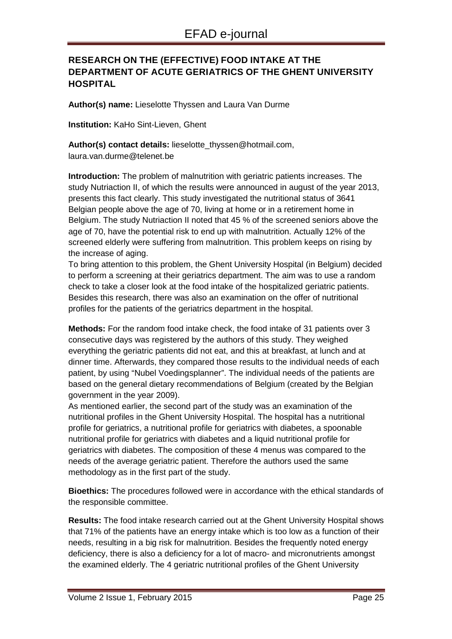# **RESEARCH ON THE (EFFECTIVE) FOOD INTAKE AT THE DEPARTMENT OF ACUTE GERIATRICS OF THE GHENT UNIVERSITY HOSPITAL**

**Author(s) name:** Lieselotte Thyssen and Laura Van Durme

**Institution:** KaHo Sint-Lieven, Ghent

**Author(s) contact details:** lieselotte\_thyssen@hotmail.com, laura.van.durme@telenet.be

**Introduction:** The problem of malnutrition with geriatric patients increases. The study Nutriaction II, of which the results were announced in august of the year 2013, presents this fact clearly. This study investigated the nutritional status of 3641 Belgian people above the age of 70, living at home or in a retirement home in Belgium. The study Nutriaction II noted that 45 % of the screened seniors above the age of 70, have the potential risk to end up with malnutrition. Actually 12% of the screened elderly were suffering from malnutrition. This problem keeps on rising by the increase of aging.

To bring attention to this problem, the Ghent University Hospital (in Belgium) decided to perform a screening at their geriatrics department. The aim was to use a random check to take a closer look at the food intake of the hospitalized geriatric patients. Besides this research, there was also an examination on the offer of nutritional profiles for the patients of the geriatrics department in the hospital.

**Methods:** For the random food intake check, the food intake of 31 patients over 3 consecutive days was registered by the authors of this study. They weighed everything the geriatric patients did not eat, and this at breakfast, at lunch and at dinner time. Afterwards, they compared those results to the individual needs of each patient, by using "Nubel Voedingsplanner". The individual needs of the patients are based on the general dietary recommendations of Belgium (created by the Belgian government in the year 2009).

As mentioned earlier, the second part of the study was an examination of the nutritional profiles in the Ghent University Hospital. The hospital has a nutritional profile for geriatrics, a nutritional profile for geriatrics with diabetes, a spoonable nutritional profile for geriatrics with diabetes and a liquid nutritional profile for geriatrics with diabetes. The composition of these 4 menus was compared to the needs of the average geriatric patient. Therefore the authors used the same methodology as in the first part of the study.

**Bioethics:** The procedures followed were in accordance with the ethical standards of the responsible committee.

**Results:** The food intake research carried out at the Ghent University Hospital shows that 71% of the patients have an energy intake which is too low as a function of their needs, resulting in a big risk for malnutrition. Besides the frequently noted energy deficiency, there is also a deficiency for a lot of macro- and micronutrients amongst the examined elderly. The 4 geriatric nutritional profiles of the Ghent University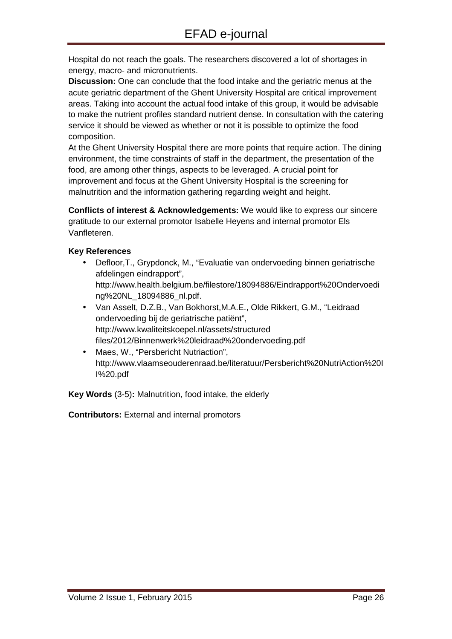Hospital do not reach the goals. The researchers discovered a lot of shortages in energy, macro- and micronutrients.

**Discussion:** One can conclude that the food intake and the geriatric menus at the acute geriatric department of the Ghent University Hospital are critical improvement areas. Taking into account the actual food intake of this group, it would be advisable to make the nutrient profiles standard nutrient dense. In consultation with the catering service it should be viewed as whether or not it is possible to optimize the food composition.

At the Ghent University Hospital there are more points that require action. The dining environment, the time constraints of staff in the department, the presentation of the food, are among other things, aspects to be leveraged. A crucial point for improvement and focus at the Ghent University Hospital is the screening for malnutrition and the information gathering regarding weight and height.

**Conflicts of interest & Acknowledgements:** We would like to express our sincere gratitude to our external promotor Isabelle Heyens and internal promotor Els Vanfleteren.

#### **Key References**

- Defloor,T., Grypdonck, M., "Evaluatie van ondervoeding binnen geriatrische afdelingen eindrapport", http://www.health.belgium.be/filestore/18094886/Eindrapport%20Ondervoedi ng%20NL\_18094886\_nl.pdf.
- Van Asselt, D.Z.B., Van Bokhorst,M.A.E., Olde Rikkert, G.M., "Leidraad ondervoeding bij de geriatrische patiënt", http://www.kwaliteitskoepel.nl/assets/structured files/2012/Binnenwerk%20leidraad%20ondervoeding.pdf
- Maes, W., "Persbericht Nutriaction", http://www.vlaamseouderenraad.be/literatuur/Persbericht%20NutriAction%20I I%20.pdf

**Key Words** (3-5)**:** Malnutrition, food intake, the elderly

**Contributors:** External and internal promotors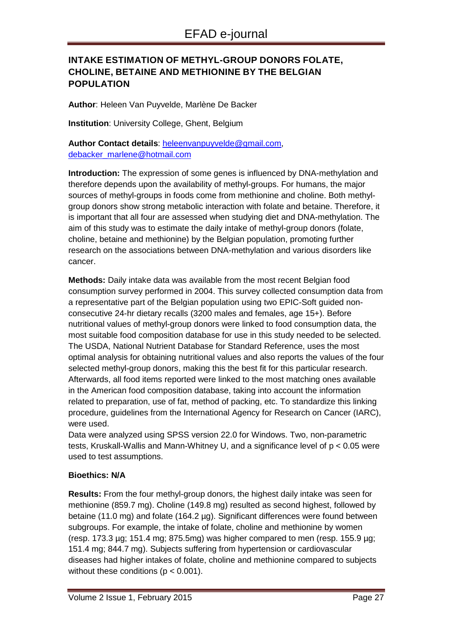# **INTAKE ESTIMATION OF METHYL-GROUP DONORS FOLATE, CHOLINE, BETAINE AND METHIONINE BY THE BELGIAN POPULATION**

**Author**: Heleen Van Puyvelde, Marlène De Backer

**Institution**: University College, Ghent, Belgium

Author Contact details: heleenvanpuyvelde@gmail.com, debacker\_marlene@hotmail.com

**Introduction:** The expression of some genes is influenced by DNA-methylation and therefore depends upon the availability of methyl-groups. For humans, the major sources of methyl-groups in foods come from methionine and choline. Both methylgroup donors show strong metabolic interaction with folate and betaine. Therefore, it is important that all four are assessed when studying diet and DNA-methylation. The aim of this study was to estimate the daily intake of methyl-group donors (folate, choline, betaine and methionine) by the Belgian population, promoting further research on the associations between DNA-methylation and various disorders like cancer.

**Methods:** Daily intake data was available from the most recent Belgian food consumption survey performed in 2004. This survey collected consumption data from a representative part of the Belgian population using two EPIC-Soft guided nonconsecutive 24-hr dietary recalls (3200 males and females, age 15+). Before nutritional values of methyl-group donors were linked to food consumption data, the most suitable food composition database for use in this study needed to be selected. The USDA, National Nutrient Database for Standard Reference, uses the most optimal analysis for obtaining nutritional values and also reports the values of the four selected methyl-group donors, making this the best fit for this particular research. Afterwards, all food items reported were linked to the most matching ones available in the American food composition database, taking into account the information related to preparation, use of fat, method of packing, etc. To standardize this linking procedure, guidelines from the International Agency for Research on Cancer (IARC), were used.

Data were analyzed using SPSS version 22.0 for Windows. Two, non-parametric tests, Kruskall-Wallis and Mann-Whitney U, and a significance level of p < 0.05 were used to test assumptions.

#### **Bioethics: N/A**

**Results:** From the four methyl-group donors, the highest daily intake was seen for methionine (859.7 mg). Choline (149.8 mg) resulted as second highest, followed by betaine (11.0 mg) and folate (164.2 µg). Significant differences were found between subgroups. For example, the intake of folate, choline and methionine by women (resp.  $173.3 \text{ µg}$ ;  $151.4 \text{ mg}$ ;  $875.5 \text{ mg}$ ) was higher compared to men (resp.  $155.9 \text{ µg}$ ; 151.4 mg; 844.7 mg). Subjects suffering from hypertension or cardiovascular diseases had higher intakes of folate, choline and methionine compared to subjects without these conditions ( $p < 0.001$ ).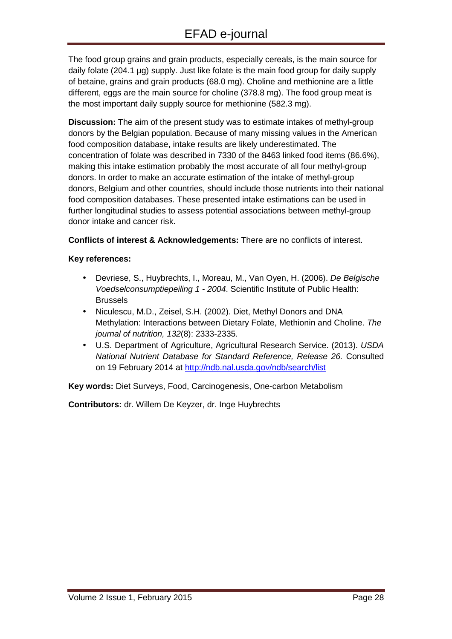The food group grains and grain products, especially cereals, is the main source for daily folate (204.1 µg) supply. Just like folate is the main food group for daily supply of betaine, grains and grain products (68.0 mg). Choline and methionine are a little different, eggs are the main source for choline (378.8 mg). The food group meat is the most important daily supply source for methionine (582.3 mg).

**Discussion:** The aim of the present study was to estimate intakes of methyl-group donors by the Belgian population. Because of many missing values in the American food composition database, intake results are likely underestimated. The concentration of folate was described in 7330 of the 8463 linked food items (86.6%), making this intake estimation probably the most accurate of all four methyl-group donors. In order to make an accurate estimation of the intake of methyl-group donors, Belgium and other countries, should include those nutrients into their national food composition databases. These presented intake estimations can be used in further longitudinal studies to assess potential associations between methyl-group donor intake and cancer risk.

**Conflicts of interest & Acknowledgements:** There are no conflicts of interest.

#### **Key references:**

- Devriese, S., Huybrechts, I., Moreau, M., Van Oyen, H. (2006). De Belgische Voedselconsumptiepeiling 1 - 2004. Scientific Institute of Public Health: Brussels
- Niculescu, M.D., Zeisel, S.H. (2002). Diet, Methyl Donors and DNA Methylation: Interactions between Dietary Folate, Methionin and Choline. The journal of nutrition, 132(8): 2333-2335.
- U.S. Department of Agriculture, Agricultural Research Service. (2013). USDA National Nutrient Database for Standard Reference, Release 26. Consulted on 19 February 2014 at http://ndb.nal.usda.gov/ndb/search/list

**Key words:** Diet Surveys, Food, Carcinogenesis, One-carbon Metabolism

**Contributors:** dr. Willem De Keyzer, dr. Inge Huybrechts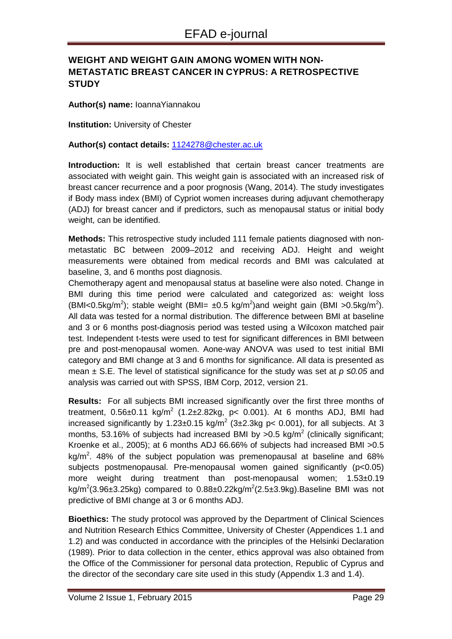# **WEIGHT AND WEIGHT GAIN AMONG WOMEN WITH NON-METASTATIC BREAST CANCER IN CYPRUS: A RETROSPECTIVE STUDY**

#### **Author(s) name:** IoannaYiannakou

**Institution:** University of Chester

#### **Author(s) contact details:** 1124278@chester.ac.uk

**Introduction:** It is well established that certain breast cancer treatments are associated with weight gain. This weight gain is associated with an increased risk of breast cancer recurrence and a poor prognosis (Wang, 2014). The study investigates if Body mass index (BMI) of Cypriot women increases during adjuvant chemotherapy (ADJ) for breast cancer and if predictors, such as menopausal status or initial body weight, can be identified.

**Methods:** This retrospective study included 111 female patients diagnosed with nonmetastatic BC between 2009–2012 and receiving ADJ. Height and weight measurements were obtained from medical records and BMI was calculated at baseline, 3, and 6 months post diagnosis.

Chemotherapy agent and menopausal status at baseline were also noted. Change in BMI during this time period were calculated and categorized as: weight loss (BMI<0.5kg/m<sup>2</sup>); stable weight (BMI=  $\pm$ 0.5 kg/m<sup>2</sup>)and weight gain (BMI >0.5kg/m<sup>2</sup>). All data was tested for a normal distribution. The difference between BMI at baseline and 3 or 6 months post-diagnosis period was tested using a Wilcoxon matched pair test. Independent t-tests were used to test for significant differences in BMI between pre and post-menopausal women. Aone-way ANOVA was used to test initial BMI category and BMI change at 3 and 6 months for significance. All data is presented as mean ± S.E. The level of statistical significance for the study was set at p *≤*0.05 and analysis was carried out with SPSS, IBM Corp, 2012, version 21.

**Results:** For all subjects BMI increased significantly over the first three months of treatment,  $0.56 \pm 0.11$  kg/m<sup>2</sup> (1.2 $\pm 2.82$ kg, p< 0.001). At 6 months ADJ, BMI had increased significantly by 1.23±0.15 kg/m<sup>2</sup> (3±2.3kg p< 0.001), for all subjects. At 3 months, 53.16% of subjects had increased BMI by >0.5 kg/m<sup>2</sup> (clinically significant; Kroenke et al., 2005); at 6 months ADJ 66.66% of subjects had increased BMI >0.5 kg/m<sup>2</sup>. 48% of the subject population was premenopausal at baseline and 68% subjects postmenopausal. Pre-menopausal women gained significantly (p<0.05) more weight during treatment than post-menopausal women; 1.53±0.19 kg/m<sup>2</sup>(3.96±3.25kg) compared to 0.88±0.22kg/m<sup>2</sup>(2.5±3.9kg).Baseline BMI was not predictive of BMI change at 3 or 6 months ADJ.

**Bioethics:** The study protocol was approved by the Department of Clinical Sciences and Nutrition Research Ethics Committee, University of Chester (Appendices 1.1 and 1.2) and was conducted in accordance with the principles of the Helsinki Declaration (1989). Prior to data collection in the center, ethics approval was also obtained from the Office of the Commissioner for personal data protection, Republic of Cyprus and the director of the secondary care site used in this study (Appendix 1.3 and 1.4).